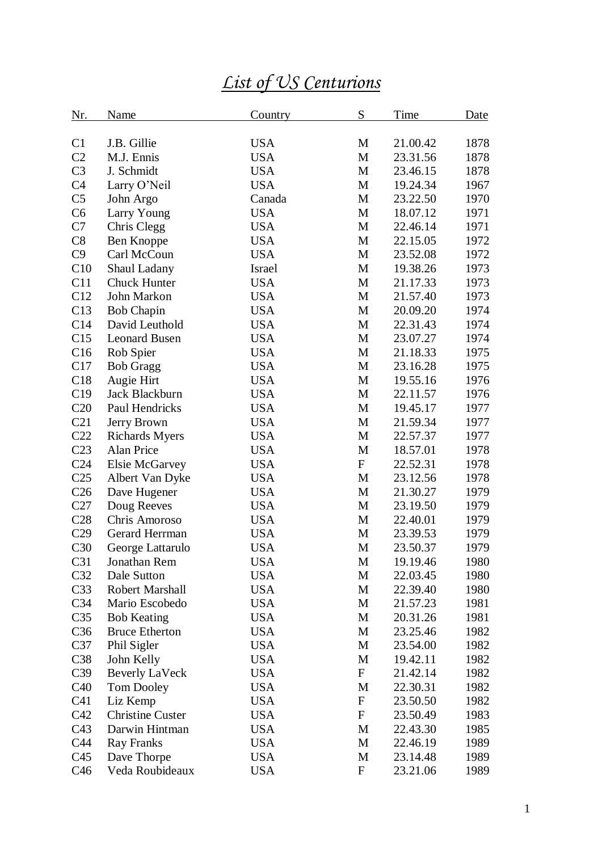## *List of US Centurions*

| <u>Nr.</u>      | <b>Name</b>             | Country    | S                         | <b>Time</b> | Date |
|-----------------|-------------------------|------------|---------------------------|-------------|------|
| C <sub>1</sub>  | J.B. Gillie             | <b>USA</b> | M                         | 21.00.42    | 1878 |
| C2              | M.J. Ennis              | <b>USA</b> | M                         | 23.31.56    | 1878 |
| C <sub>3</sub>  | J. Schmidt              | <b>USA</b> | M                         | 23.46.15    | 1878 |
| C <sub>4</sub>  | Larry O'Neil            | <b>USA</b> | M                         | 19.24.34    | 1967 |
| C <sub>5</sub>  | John Argo               | Canada     | M                         | 23.22.50    | 1970 |
| C6              | Larry Young             | <b>USA</b> | M                         | 18.07.12    | 1971 |
| C7              | Chris Clegg             | <b>USA</b> | M                         | 22.46.14    | 1971 |
| C8              | Ben Knoppe              | <b>USA</b> | M                         | 22.15.05    | 1972 |
| C9              | Carl McCoun             | <b>USA</b> | M                         | 23.52.08    | 1972 |
| C10             | Shaul Ladany            | Israel     | M                         | 19.38.26    | 1973 |
| C11             | <b>Chuck Hunter</b>     | <b>USA</b> | M                         | 21.17.33    | 1973 |
| C12             | John Markon             | <b>USA</b> | M                         | 21.57.40    | 1973 |
| C13             | <b>Bob Chapin</b>       | <b>USA</b> | M                         | 20.09.20    | 1974 |
| C14             | David Leuthold          | <b>USA</b> | M                         | 22.31.43    | 1974 |
| C15             | <b>Leonard Busen</b>    | <b>USA</b> | M                         | 23.07.27    | 1974 |
| C16             | Rob Spier               | <b>USA</b> | M                         | 21.18.33    | 1975 |
| C17             | <b>Bob Gragg</b>        | <b>USA</b> | M                         | 23.16.28    | 1975 |
| C18             | Augie Hirt              | <b>USA</b> | M                         | 19.55.16    | 1976 |
| C19             | Jack Blackburn          | <b>USA</b> | M                         | 22.11.57    | 1976 |
| C20             | Paul Hendricks          | <b>USA</b> | M                         | 19.45.17    | 1977 |
| C21             | Jerry Brown             | <b>USA</b> | M                         | 21.59.34    | 1977 |
| C22             | <b>Richards Myers</b>   | <b>USA</b> | M                         | 22.57.37    | 1977 |
| C <sub>23</sub> | Alan Price              | <b>USA</b> | M                         | 18.57.01    | 1978 |
| C <sub>24</sub> | <b>Elsie McGarvey</b>   | <b>USA</b> | $\mathbf F$               | 22.52.31    | 1978 |
| C <sub>25</sub> | Albert Van Dyke         | <b>USA</b> | M                         | 23.12.56    | 1978 |
| C <sub>26</sub> | Dave Hugener            | <b>USA</b> | M                         | 21.30.27    | 1979 |
| C27             | Doug Reeves             | <b>USA</b> | M                         | 23.19.50    | 1979 |
| C28             | Chris Amoroso           | <b>USA</b> | M                         | 22.40.01    | 1979 |
| C29             | Gerard Herrman          | <b>USA</b> | M                         | 23.39.53    | 1979 |
| C30             | George Lattarulo        | <b>USA</b> | M                         | 23.50.37    | 1979 |
| C31             | Jonathan Rem            | <b>USA</b> | M                         | 19.19.46    | 1980 |
| C32             | Dale Sutton             | <b>USA</b> | M                         | 22.03.45    | 1980 |
| C <sub>33</sub> | Robert Marshall         | <b>USA</b> | M                         | 22.39.40    | 1980 |
| C <sub>34</sub> | Mario Escobedo          | <b>USA</b> | M                         | 21.57.23    | 1981 |
| C <sub>35</sub> | <b>Bob Keating</b>      | <b>USA</b> | M                         | 20.31.26    | 1981 |
| C <sub>36</sub> | <b>Bruce Etherton</b>   | <b>USA</b> | M                         | 23.25.46    | 1982 |
| C37             | Phil Sigler             | <b>USA</b> | M                         | 23.54.00    | 1982 |
| C38             | John Kelly              | <b>USA</b> | M                         | 19.42.11    | 1982 |
| C39             | <b>Beverly LaVeck</b>   | <b>USA</b> | $\mathbf F$               | 21.42.14    | 1982 |
| C40             | <b>Tom Dooley</b>       | <b>USA</b> | M                         | 22.30.31    | 1982 |
| C <sub>41</sub> | Liz Kemp                | <b>USA</b> | $\mathbf F$               | 23.50.50    | 1982 |
| C42             | <b>Christine Custer</b> | <b>USA</b> | $\mathbf F$               | 23.50.49    | 1983 |
| C43             | Darwin Hintman          | <b>USA</b> | M                         | 22.43.30    | 1985 |
| C44             | <b>Ray Franks</b>       | <b>USA</b> | M                         | 22.46.19    | 1989 |
| C <sub>45</sub> | Dave Thorpe             | <b>USA</b> | M                         | 23.14.48    | 1989 |
| C46             | Veda Roubideaux         | <b>USA</b> | $\boldsymbol{\mathrm{F}}$ | 23.21.06    | 1989 |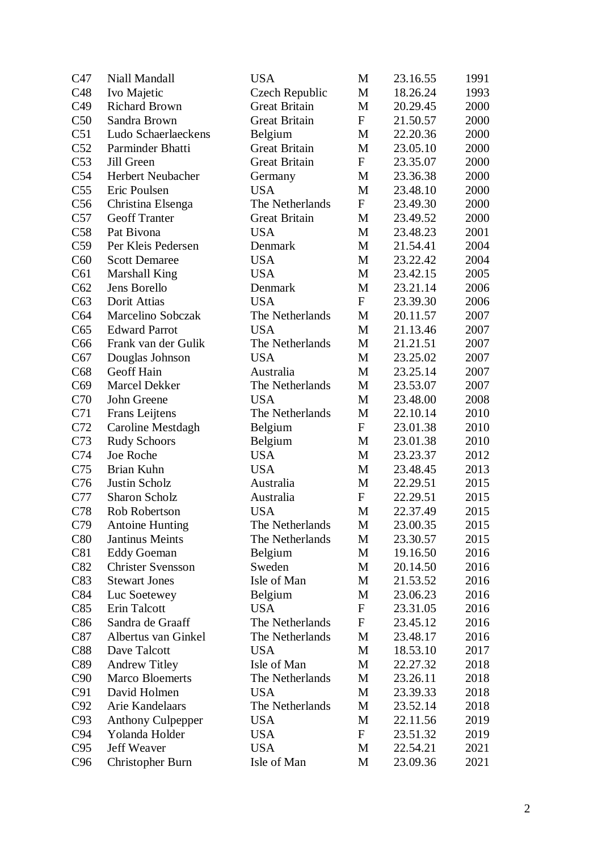| C47             | Niall Mandall            | <b>USA</b>           | M                | 23.16.55 | 1991 |
|-----------------|--------------------------|----------------------|------------------|----------|------|
| C48             | Ivo Majetic              | Czech Republic       | M                | 18.26.24 | 1993 |
| C49             | <b>Richard Brown</b>     | <b>Great Britain</b> | M                | 20.29.45 | 2000 |
| C50             | Sandra Brown             | <b>Great Britain</b> | $\mathbf F$      | 21.50.57 | 2000 |
| C51             | Ludo Schaerlaeckens      | Belgium              | M                | 22.20.36 | 2000 |
| C52             | Parminder Bhatti         | <b>Great Britain</b> | M                | 23.05.10 | 2000 |
| C53             | Jill Green               | <b>Great Britain</b> | $\mathbf F$      | 23.35.07 | 2000 |
| C54             | <b>Herbert Neubacher</b> | Germany              | M                | 23.36.38 | 2000 |
| C <sub>55</sub> | Eric Poulsen             | <b>USA</b>           | M                | 23.48.10 | 2000 |
| C56             | Christina Elsenga        | The Netherlands      | $\mathbf F$      | 23.49.30 | 2000 |
| C57             | <b>Geoff Tranter</b>     | <b>Great Britain</b> | M                | 23.49.52 | 2000 |
| C58             | Pat Bivona               | <b>USA</b>           | M                | 23.48.23 | 2001 |
| C59             | Per Kleis Pedersen       | Denmark              | M                | 21.54.41 | 2004 |
| C60             | <b>Scott Demaree</b>     | <b>USA</b>           | M                | 23.22.42 | 2004 |
| C61             | <b>Marshall King</b>     | <b>USA</b>           | M                | 23.42.15 | 2005 |
| C62             | Jens Borello             | Denmark              | M                | 23.21.14 | 2006 |
| C63             | Dorit Attias             | <b>USA</b>           | $\mathbf F$      | 23.39.30 | 2006 |
| C64             | Marcelino Sobczak        | The Netherlands      | M                | 20.11.57 | 2007 |
| C65             | <b>Edward Parrot</b>     | <b>USA</b>           | M                | 21.13.46 | 2007 |
| C66             | Frank van der Gulik      | The Netherlands      | M                | 21.21.51 | 2007 |
| C67             | Douglas Johnson          | <b>USA</b>           | M                | 23.25.02 | 2007 |
| C68             | Geoff Hain               | Australia            | M                | 23.25.14 | 2007 |
| C69             | Marcel Dekker            | The Netherlands      | M                | 23.53.07 | 2007 |
| C70             | John Greene              | <b>USA</b>           | M                | 23.48.00 | 2008 |
| C71             | Frans Leijtens           | The Netherlands      | M                | 22.10.14 | 2010 |
| C72             | Caroline Mestdagh        | Belgium              | $\mathbf F$      | 23.01.38 | 2010 |
| C73             | <b>Rudy Schoors</b>      | Belgium              | M                | 23.01.38 | 2010 |
| C74             | Joe Roche                | <b>USA</b>           | M                | 23.23.37 | 2012 |
| C75             | Brian Kuhn               | <b>USA</b>           | M                | 23.48.45 | 2013 |
| C76             | Justin Scholz            | Australia            | M                | 22.29.51 | 2015 |
| C77             | Sharon Scholz            | Australia            | $\boldsymbol{F}$ | 22.29.51 | 2015 |
| C78             | Rob Robertson            | <b>USA</b>           | M                | 22.37.49 | 2015 |
| C79             | <b>Antoine Hunting</b>   | The Netherlands      | M                | 23.00.35 | 2015 |
| C80             | Jantinus Meints          | The Netherlands      | M                | 23.30.57 | 2015 |
| C81             | <b>Eddy Goeman</b>       | Belgium              | M                | 19.16.50 | 2016 |
| C82             | <b>Christer Svensson</b> | Sweden               | M                | 20.14.50 | 2016 |
| C83             | <b>Stewart Jones</b>     | Isle of Man          | M                | 21.53.52 | 2016 |
| C84             | Luc Soetewey             | Belgium              | M                | 23.06.23 | 2016 |
| C85             | Erin Talcott             | <b>USA</b>           | $\mathbf F$      | 23.31.05 | 2016 |
| C86             | Sandra de Graaff         | The Netherlands      | $\mathbf F$      | 23.45.12 | 2016 |
| C87             | Albertus van Ginkel      | The Netherlands      | M                | 23.48.17 | 2016 |
| C88             | Dave Talcott             | <b>USA</b>           | M                | 18.53.10 | 2017 |
| C89             | <b>Andrew Titley</b>     | Isle of Man          | M                | 22.27.32 | 2018 |
| C90             | <b>Marco Bloemerts</b>   | The Netherlands      | M                | 23.26.11 | 2018 |
| C91             | David Holmen             | <b>USA</b>           | M                | 23.39.33 | 2018 |
| C92             | Arie Kandelaars          | The Netherlands      | M                | 23.52.14 | 2018 |
| C93             | <b>Anthony Culpepper</b> | <b>USA</b>           | M                | 22.11.56 | 2019 |
| C94             | Yolanda Holder           | <b>USA</b>           | $\boldsymbol{F}$ | 23.51.32 | 2019 |
| C95             | Jeff Weaver              | <b>USA</b>           | M                | 22.54.21 | 2021 |
| C96             | Christopher Burn         | Isle of Man          | M                | 23.09.36 | 2021 |
|                 |                          |                      |                  |          |      |